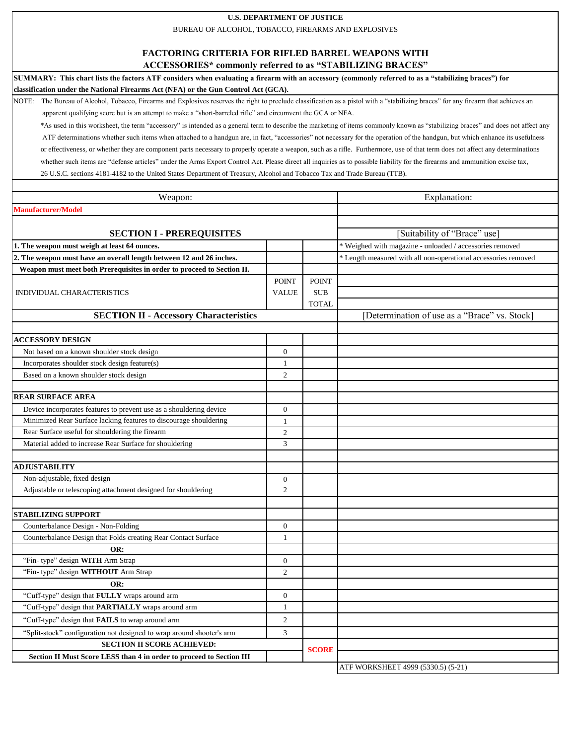## **U.S. DEPARTMENT OF JUSTICE**

BUREAU OF ALCOHOL, TOBACCO, FIREARMS AND EXPLOSIVES

## **FACTORING CRITERIA FOR RIFLED BARREL WEAPONS WITH**

**ACCESSORIES\* commonly referred to as "STABILIZING BRACES"**

**SUMMARY: This chart lists the factors ATF considers when evaluating a firearm with an accessory (commonly referred to as a "stabilizing braces") for classification under the National Firearms Act (NFA) or the Gun Control Act (GCA).** 

NOTE: The Bureau of Alcohol, Tobacco, Firearms and Explosives reserves the right to preclude classification as a pistol with a "stabilizing braces" for any firearm that achieves an apparent qualifying score but is an attempt to make a "short-barreled rifle" and circumvent the GCA or NFA.

 \*As used in this worksheet, the term "accessory" is intended as a general term to describe the marketing of items commonly known as "stabilizing braces" and does not affect any ATF determinations whether such items when attached to a handgun are, in fact, "accessories" not necessary for the operation of the handgun, but which enhance its usefulness or effectiveness, or whether they are component parts necessary to properly operate a weapon, such as a rifle. Furthermore, use of that term does not affect any determinations whether such items are "defense articles" under the Arms Export Control Act. Please direct all inquiries as to possible liability for the firearms and ammunition excise tax, 26 U.S.C. sections 4181-4182 to the United States Department of Treasury, Alcohol and Tobacco Tax and Trade Bureau (TTB).

| Weapon:                                                                              |                  |              | Explanation:                                                   |
|--------------------------------------------------------------------------------------|------------------|--------------|----------------------------------------------------------------|
| <b>Manufacturer/Model</b>                                                            |                  |              |                                                                |
|                                                                                      |                  |              |                                                                |
| <b>SECTION I - PREREQUISITES</b>                                                     |                  |              | [Suitability of "Brace" use]                                   |
| 1. The weapon must weigh at least 64 ounces.                                         |                  |              | * Weighed with magazine - unloaded / accessories removed       |
| 2. The weapon must have an overall length between 12 and 26 inches.                  |                  |              | * Length measured with all non-operational accessories removed |
| Weapon must meet both Prerequisites in order to proceed to Section II.               |                  |              |                                                                |
| <b>INDIVIDUAL CHARACTERISTICS</b>                                                    | <b>POINT</b>     | <b>POINT</b> |                                                                |
|                                                                                      | <b>VALUE</b>     | <b>SUB</b>   |                                                                |
|                                                                                      |                  | <b>TOTAL</b> |                                                                |
| <b>SECTION II - Accessory Characteristics</b>                                        |                  |              | [Determination of use as a "Brace" vs. Stock]                  |
|                                                                                      |                  |              |                                                                |
| <b>ACCESSORY DESIGN</b>                                                              |                  |              |                                                                |
| Not based on a known shoulder stock design                                           | $\overline{0}$   |              |                                                                |
| Incorporates shoulder stock design feature(s)                                        | $\mathbf{1}$     |              |                                                                |
| Based on a known shoulder stock design                                               | $\mathfrak{2}$   |              |                                                                |
| <b>REAR SURFACE AREA</b>                                                             |                  |              |                                                                |
| Device incorporates features to prevent use as a shouldering device                  | $\overline{0}$   |              |                                                                |
| Minimized Rear Surface lacking features to discourage shouldering                    | $\mathbf{1}$     |              |                                                                |
| Rear Surface useful for shouldering the firearm                                      | $\overline{2}$   |              |                                                                |
| Material added to increase Rear Surface for shouldering                              | 3                |              |                                                                |
|                                                                                      |                  |              |                                                                |
| <b>ADJUSTABILITY</b>                                                                 |                  |              |                                                                |
| Non-adjustable, fixed design                                                         | $\boldsymbol{0}$ |              |                                                                |
| Adjustable or telescoping attachment designed for shouldering                        | $\mathfrak{2}$   |              |                                                                |
|                                                                                      |                  |              |                                                                |
| <b>STABILIZING SUPPORT</b>                                                           |                  |              |                                                                |
| Counterbalance Design - Non-Folding                                                  | $\overline{0}$   |              |                                                                |
| Counterbalance Design that Folds creating Rear Contact Surface                       | 1                |              |                                                                |
| OR:                                                                                  |                  |              |                                                                |
| "Fin- type" design WITH Arm Strap                                                    | $\overline{0}$   |              |                                                                |
| "Fin- type" design WITHOUT Arm Strap                                                 | $\overline{c}$   |              |                                                                |
| OR:                                                                                  |                  |              |                                                                |
| "Cuff-type" design that FULLY wraps around arm                                       | $\overline{0}$   |              |                                                                |
| "Cuff-type" design that PARTIALLY wraps around arm                                   | $\mathbf{1}$     |              |                                                                |
| "Cuff-type" design that FAILS to wrap around arm                                     | $\overline{c}$   |              |                                                                |
| "Split-stock" configuration not designed to wrap around shooter's arm                | 3                |              |                                                                |
| <b>SECTION II SCORE ACHIEVED:</b>                                                    |                  |              |                                                                |
| <b>SCORE</b><br>Section II Must Score LESS than 4 in order to proceed to Section III |                  |              |                                                                |
|                                                                                      |                  |              | ATF WORKSHEET 4999 (5330.5) (5-21)                             |